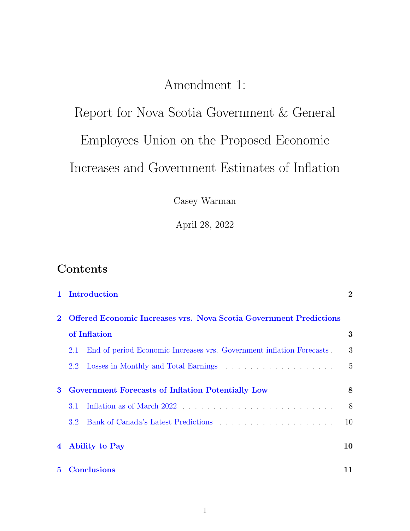## Amendment 1:

# <span id="page-0-0"></span>Report for Nova Scotia Government & General Employees Union on the Proposed Economic Increases and Government Estimates of Inflation

Casey Warman

April 28, 2022

## Contents

|   |                                                                                           | 1 Introduction                                                        | $\overline{2}$ |
|---|-------------------------------------------------------------------------------------------|-----------------------------------------------------------------------|----------------|
|   | <b>Offered Economic Increases vrs. Nova Scotia Government Predictions</b><br>of Inflation |                                                                       |                |
|   |                                                                                           |                                                                       | 3              |
|   | 2.1                                                                                       | End of period Economic Increases vrs. Government inflation Forecasts. | 3              |
|   | 2.2                                                                                       |                                                                       | 5              |
| 3 | <b>Government Forecasts of Inflation Potentially Low</b>                                  |                                                                       | 8              |
|   | 3.1                                                                                       |                                                                       | 8              |
|   | 3.2                                                                                       |                                                                       | 10             |
|   | 4 Ability to Pay                                                                          |                                                                       | 10             |
|   | <b>5</b> Conclusions                                                                      |                                                                       | 11             |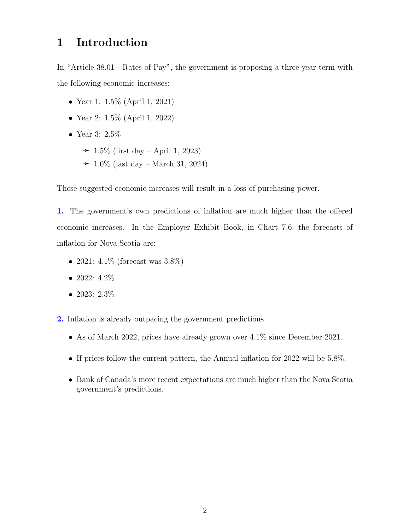### <span id="page-1-0"></span>1 Introduction

In "Article 38.01 - Rates of Pay", the government is proposing a three-year term with the following economic increases:

- Year 1: 1.5% (April 1, 2021)
- Year 2: 1.5% (April 1, 2022)
- Year 3: 2.5%
	- $\rightarrow$  1.5% (first day April 1, 2023)
	- → 1.0\% (last day March 31, 2024)

These suggested economic increases will result in a loss of purchasing power.

1. The government's own predictions of inflation are much higher than the offered economic increases. In the Employer Exhibit Book, in Chart 7.6, the forecasts of inflation for Nova Scotia are:

- 2021:  $4.1\%$  (forecast was  $3.8\%$ )
- 2022:  $4.2\%$
- 2023: 2.3%
- 2. Inflation is already outpacing the government predictions.
	- As of March 2022, prices have already grown over  $4.1\%$  since December 2021.
	- If prices follow the current pattern, the Annual inflation for 2022 will be 5.8%.
	- Bank of Canada's more recent expectations are much higher than the Nova Scotia government's predictions.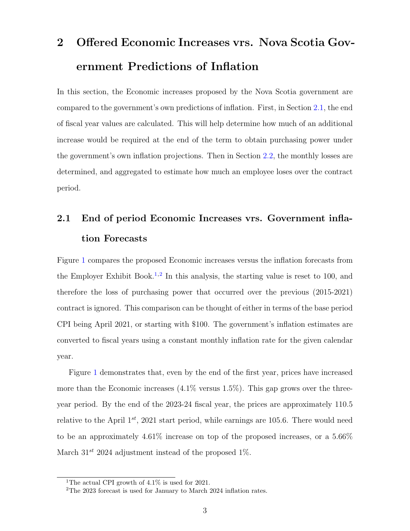## <span id="page-2-0"></span>2 Offered Economic Increases vrs. Nova Scotia Government Predictions of Inflation

In this section, the Economic increases proposed by the Nova Scotia government are compared to the government's own predictions of inflation. First, in Section [2.1,](#page-2-1) the end of fiscal year values are calculated. This will help determine how much of an additional increase would be required at the end of the term to obtain purchasing power under the government's own inflation projections. Then in Section [2.2,](#page-4-0) the monthly losses are determined, and aggregated to estimate how much an employee loses over the contract period.

## <span id="page-2-1"></span>2.1 End of period Economic Increases vrs. Government inflation Forecasts

Figure [1](#page-3-0) compares the proposed Economic increases versus the inflation forecasts from the Employer Exhibit Book.<sup>[1](#page-0-0),[2](#page-0-0)</sup> In this analysis, the starting value is reset to 100, and therefore the loss of purchasing power that occurred over the previous (2015-2021) contract is ignored. This comparison can be thought of either in terms of the base period CPI being April 2021, or starting with \$100. The government's inflation estimates are converted to fiscal years using a constant monthly inflation rate for the given calendar year.

Figure [1](#page-3-0) demonstrates that, even by the end of the first year, prices have increased more than the Economic increases  $(4.1\%$  versus 1.5%). This gap grows over the threeyear period. By the end of the 2023-24 fiscal year, the prices are approximately 110.5 relative to the April  $1^{st}$ , 2021 start period, while earnings are 105.6. There would need to be an approximately 4.61% increase on top of the proposed increases, or a 5.66% March  $31^{st}$  2024 adjustment instead of the proposed  $1\%$ .

<sup>&</sup>lt;sup>1</sup>The actual CPI growth of  $4.1\%$  is used for 2021.

<sup>&</sup>lt;sup>2</sup>The 2023 forecast is used for January to March 2024 inflation rates.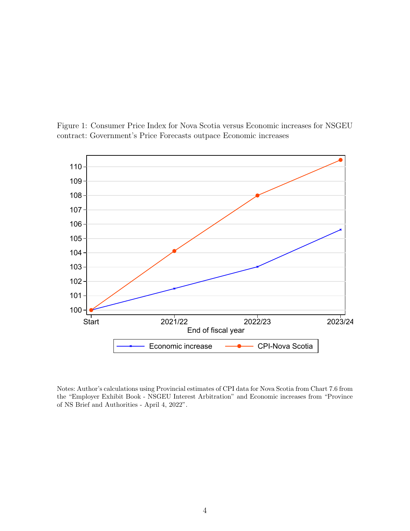<span id="page-3-0"></span>

Figure 1: Consumer Price Index for Nova Scotia versus Economic increases for NSGEU contract: Government's Price Forecasts outpace Economic increases

Notes: Author's calculations using Provincial estimates of CPI data for Nova Scotia from Chart 7.6 from the "Employer Exhibit Book - NSGEU Interest Arbitration" and Economic increases from "Province of NS Brief and Authorities - April 4, 2022".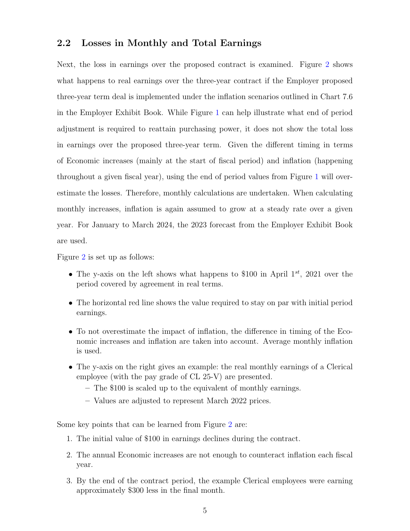#### <span id="page-4-0"></span>2.2 Losses in Monthly and Total Earnings

Next, the loss in earnings over the proposed contract is examined. Figure [2](#page-5-0) shows what happens to real earnings over the three-year contract if the Employer proposed three-year term deal is implemented under the inflation scenarios outlined in Chart 7.6 in the Employer Exhibit Book. While Figure [1](#page-3-0) can help illustrate what end of period adjustment is required to reattain purchasing power, it does not show the total loss in earnings over the proposed three-year term. Given the different timing in terms of Economic increases (mainly at the start of fiscal period) and inflation (happening throughout a given fiscal year), using the end of period values from Figure [1](#page-3-0) will overestimate the losses. Therefore, monthly calculations are undertaken. When calculating monthly increases, inflation is again assumed to grow at a steady rate over a given year. For January to March 2024, the 2023 forecast from the Employer Exhibit Book are used.

Figure [2](#page-5-0) is set up as follows:

- The y-axis on the left shows what happens to \$100 in April  $1^{st}$ , 2021 over the period covered by agreement in real terms.
- The horizontal red line shows the value required to stay on par with initial period earnings.
- To not overestimate the impact of inflation, the difference in timing of the Economic increases and inflation are taken into account. Average monthly inflation is used.
- The y-axis on the right gives an example: the real monthly earnings of a Clerical employee (with the pay grade of CL 25-V) are presented.
	- The \$100 is scaled up to the equivalent of monthly earnings.
	- Values are adjusted to represent March 2022 prices.

Some key points that can be learned from Figure [2](#page-5-0) are:

- 1. The initial value of \$100 in earnings declines during the contract.
- 2. The annual Economic increases are not enough to counteract inflation each fiscal year.
- 3. By the end of the contract period, the example Clerical employees were earning approximately \$300 less in the final month.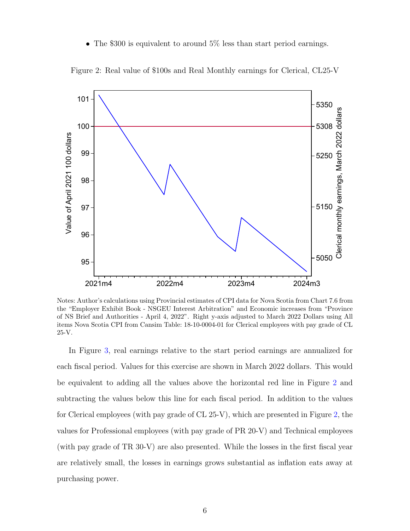• The \$300 is equivalent to around 5% less than start period earnings.

<span id="page-5-0"></span>

Figure 2: Real value of \$100s and Real Monthly earnings for Clerical, CL25-V

Notes: Author's calculations using Provincial estimates of CPI data for Nova Scotia from Chart 7.6 from the "Employer Exhibit Book - NSGEU Interest Arbitration" and Economic increases from "Province of NS Brief and Authorities - April 4, 2022". Right y-axis adjusted to March 2022 Dollars using All items Nova Scotia CPI from Cansim Table: 18-10-0004-01 for Clerical employees with pay grade of CL 25-V.

In Figure [3,](#page-6-0) real earnings relative to the start period earnings are annualized for each fiscal period. Values for this exercise are shown in March 2022 dollars. This would be equivalent to adding all the values above the horizontal red line in Figure [2](#page-5-0) and subtracting the values below this line for each fiscal period. In addition to the values for Clerical employees (with pay grade of CL 25-V), which are presented in Figure [2,](#page-5-0) the values for Professional employees (with pay grade of PR 20-V) and Technical employees (with pay grade of TR 30-V) are also presented. While the losses in the first fiscal year are relatively small, the losses in earnings grows substantial as inflation eats away at purchasing power.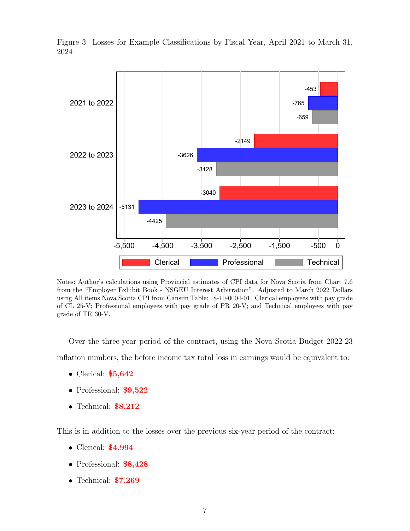<span id="page-6-0"></span>

Figure 3: Losses for Example Classifications by Fiscal Year, April 2021 to March 31, 2024

Notes: Author's calculations using Provincial estimates of CPI data for Nova Scotia from Chart 7.6 from the "Employer Exhibit Book - NSGEU Interest Arbitration". Adjusted to March 2022 Dollars using All items Nova Scotia CPI from Cansim Table: 18-10-0004-01. Clerical employees with pay grade of CL 25-V; Professional employees with pay grade of PR 20-V; and Technical employees with pay grade of TR 30-V.

Over the three-year period of the contract, using the Nova Scotia Budget 2022-23 inflation numbers, the before income tax total loss in earnings would be equivalent to:

- Clerical: **\$5,642**
- Professional: \$9,522
- Technical: **\$8,212**

This is in addition to the losses over the previous six-year period of the contract:

- Clerical: **\$4,994**
- Professional: \$8,428
- Technical: **\$7,269**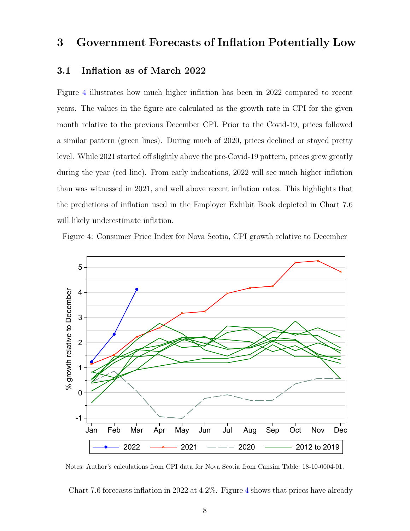### <span id="page-7-0"></span>3 Government Forecasts of Inflation Potentially Low

#### <span id="page-7-1"></span>3.1 Inflation as of March 2022

Figure [4](#page-7-2) illustrates how much higher inflation has been in 2022 compared to recent years. The values in the figure are calculated as the growth rate in CPI for the given month relative to the previous December CPI. Prior to the Covid-19, prices followed a similar pattern (green lines). During much of 2020, prices declined or stayed pretty level. While 2021 started off slightly above the pre-Covid-19 pattern, prices grew greatly during the year (red line). From early indications, 2022 will see much higher inflation than was witnessed in 2021, and well above recent inflation rates. This highlights that the predictions of inflation used in the Employer Exhibit Book depicted in Chart 7.6 will likely underestimate inflation.

Figure 4: Consumer Price Index for Nova Scotia, CPI growth relative to December

<span id="page-7-2"></span>

Notes: Author's calculations from CPI data for Nova Scotia from Cansim Table: 18-10-0004-01.

Chart 7.6 forecasts inflation in 2022 at 4.2%. Figure [4](#page-7-2) shows that prices have already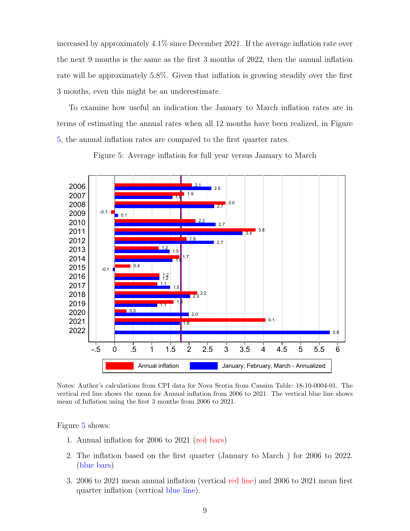increased by approximately 4.1% since December 2021. If the average inflation rate over the next 9 months is the same as the first 3 months of 2022, then the annual inflation rate will be approximately 5.8%. Given that inflation is growing steadily over the first 3 months, even this might be an underestimate.

To examine how useful an indication the January to March inflation rates are in terms of estimating the annual rates when all 12 months have been realized, in Figure [5,](#page-8-0) the annual inflation rates are compared to the first quarter rates.

<span id="page-8-0"></span>![](_page_8_Figure_2.jpeg)

Figure 5: Average inflation for full year versus January to March

Notes: Author's calculations from CPI data for Nova Scotia from Cansim Table: 18-10-0004-01. The vertical red line shows the mean for Annual inflation from 2006 to 2021. The vertical blue line shows mean of Inflation using the first 3 months from 2006 to 2021.

Figure [5](#page-8-0) shows:

- 1. Annual inflation for 2006 to 2021 (red bars)
- 2. The inflation based on the first quarter (January to March ) for 2006 to 2022. (blue bars)
- 3. 2006 to 2021 mean annual inflation (vertical red line) and 2006 to 2021 mean first quarter inflation (vertical blue line).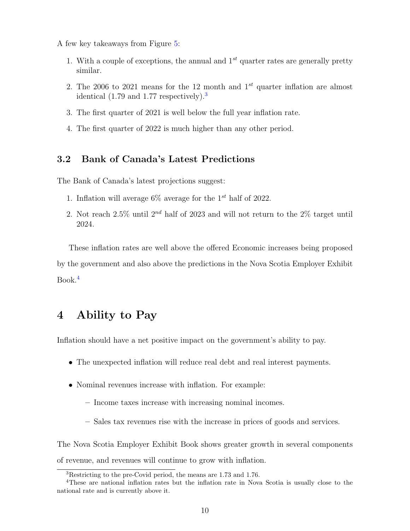A few key takeaways from Figure [5:](#page-8-0)

- 1. With a couple of exceptions, the annual and  $1^{st}$  quarter rates are generally pretty similar.
- 2. The 2006 to 2021 means for the 12 month and  $1^{st}$  quarter inflation are almost identical (1.79 and 1.77 respectively).[3](#page-0-0)
- 3. The first quarter of 2021 is well below the full year inflation rate.
- 4. The first quarter of 2022 is much higher than any other period.

#### <span id="page-9-0"></span>3.2 Bank of Canada's Latest Predictions

The Bank of Canada's latest projections suggest:

- 1. Inflation will average  $6\%$  average for the 1<sup>st</sup> half of 2022.
- 2. Not reach  $2.5\%$  until  $2^{nd}$  half of 2023 and will not return to the  $2\%$  target until 2024.

These inflation rates are well above the offered Economic increases being proposed by the government and also above the predictions in the Nova Scotia Employer Exhibit  $Book<sup>4</sup>$  $Book<sup>4</sup>$  $Book<sup>4</sup>$ 

### <span id="page-9-1"></span>4 Ability to Pay

Inflation should have a net positive impact on the government's ability to pay.

- The unexpected inflation will reduce real debt and real interest payments.
- Nominal revenues increase with inflation. For example:
	- Income taxes increase with increasing nominal incomes.
	- Sales tax revenues rise with the increase in prices of goods and services.

The Nova Scotia Employer Exhibit Book shows greater growth in several components of revenue, and revenues will continue to grow with inflation.

<sup>3</sup>Restricting to the pre-Covid period, the means are 1.73 and 1.76.

<sup>4</sup>These are national inflation rates but the inflation rate in Nova Scotia is usually close to the national rate and is currently above it.